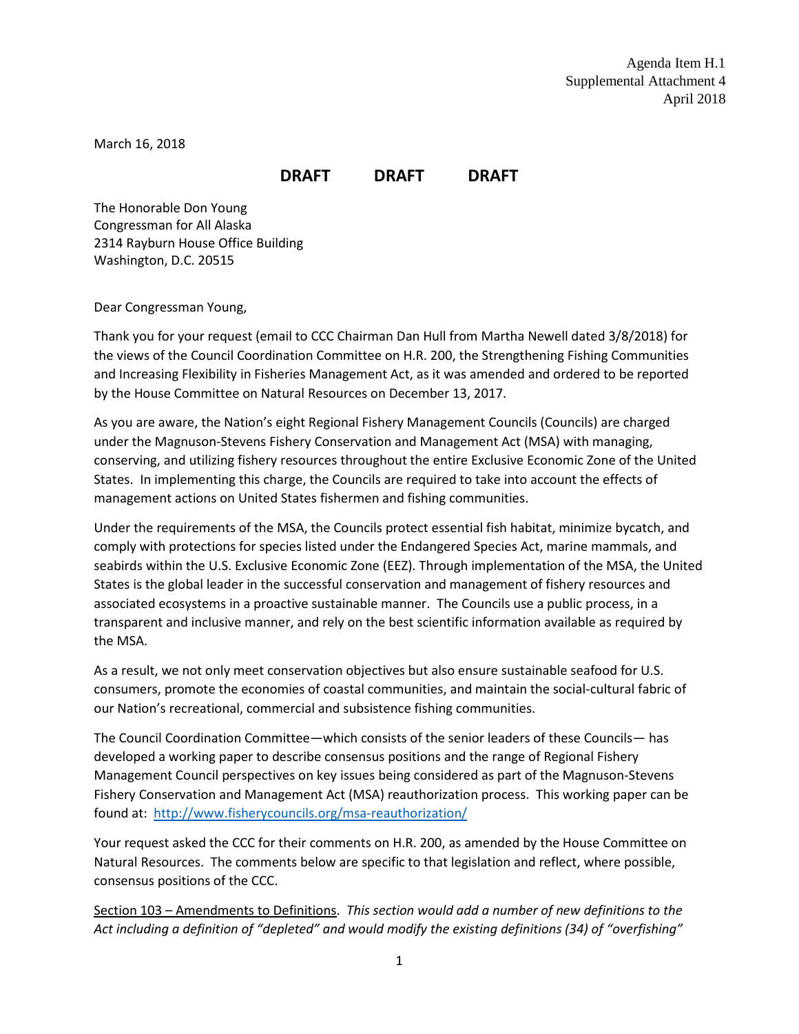March 16, 2018

## **DRAFT DRAFT DRAFT**

The Honorable Don Young Congressman for All Alaska 2314 Rayburn House Office Building Washington, D.C. 20515

Dear Congressman Young,

Thank you for your request (email to CCC Chairman Dan Hull from Martha Newell dated 3/8/2018) for the views of the Council Coordination Committee on H.R. 200, the Strengthening Fishing Communities and Increasing Flexibility in Fisheries Management Act, as it was amended and ordered to be reported by the House Committee on Natural Resources on December 13, 2017.

As you are aware, the Nation's eight Regional Fishery Management Councils (Councils) are charged under the Magnuson-Stevens Fishery Conservation and Management Act (MSA) with managing, conserving, and utilizing fishery resources throughout the entire Exclusive Economic Zone of the United States. In implementing this charge, the Councils are required to take into account the effects of management actions on United States fishermen and fishing communities.

Under the requirements of the MSA, the Councils protect essential fish habitat, minimize bycatch, and comply with protections for species listed under the Endangered Species Act, marine mammals, and seabirds within the U.S. Exclusive Economic Zone (EEZ). Through implementation of the MSA, the United States is the global leader in the successful conservation and management of fishery resources and associated ecosystems in a proactive sustainable manner. The Councils use a public process, in a transparent and inclusive manner, and rely on the best scientific information available as required by the MSA.

As a result, we not only meet conservation objectives but also ensure sustainable seafood for U.S. consumers, promote the economies of coastal communities, and maintain the social-cultural fabric of our Nation's recreational, commercial and subsistence fishing communities.

The Council Coordination Committee—which consists of the senior leaders of these Councils— has developed a working paper to describe consensus positions and the range of Regional Fishery Management Council perspectives on key issues being considered as part of the Magnuson-Stevens Fishery Conservation and Management Act (MSA) reauthorization process. This working paper can be found at: <http://www.fisherycouncils.org/msa-reauthorization/>

Your request asked the CCC for their comments on H.R. 200, as amended by the House Committee on Natural Resources. The comments below are specific to that legislation and reflect, where possible, consensus positions of the CCC.

Section 103 – Amendments to Definitions. *This section would add a number of new definitions to the Act including a definition of "depleted" and would modify the existing definitions (34) of "overfishing"*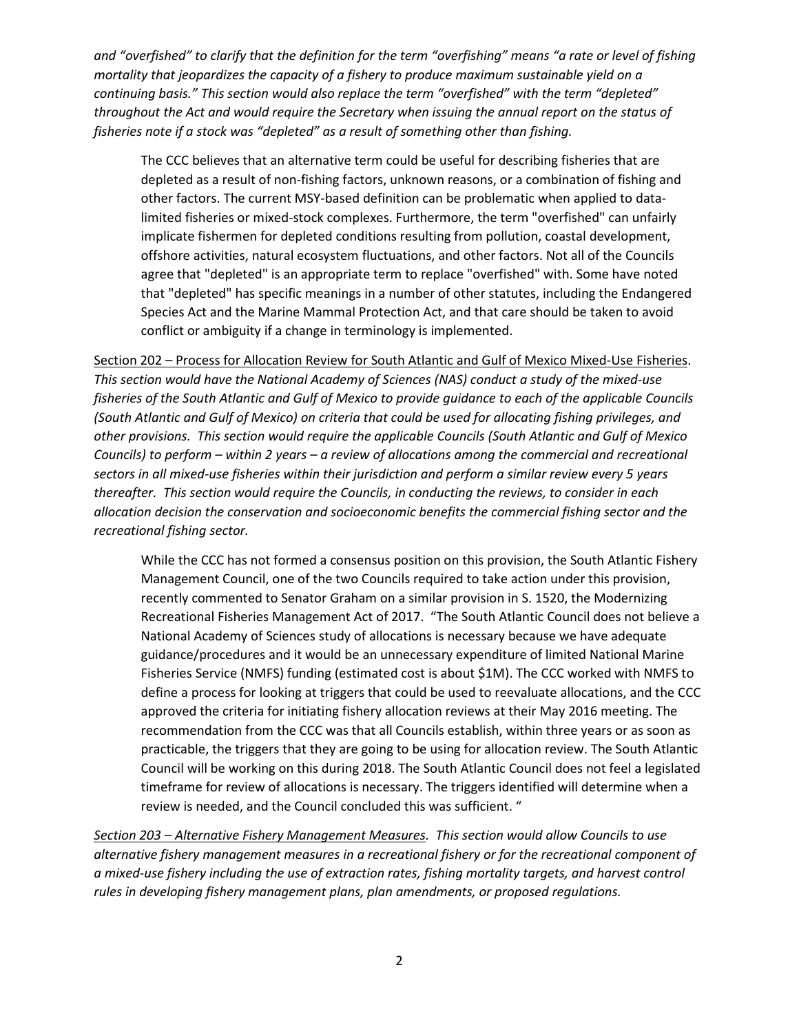*and "overfished" to clarify that the definition for the term "overfishing" means "a rate or level of fishing mortality that jeopardizes the capacity of a fishery to produce maximum sustainable yield on a continuing basis." This section would also replace the term "overfished" with the term "depleted" throughout the Act and would require the Secretary when issuing the annual report on the status of fisheries note if a stock was "depleted" as a result of something other than fishing.*

The CCC believes that an alternative term could be useful for describing fisheries that are depleted as a result of non-fishing factors, unknown reasons, or a combination of fishing and other factors. The current MSY-based definition can be problematic when applied to datalimited fisheries or mixed-stock complexes. Furthermore, the term "overfished" can unfairly implicate fishermen for depleted conditions resulting from pollution, coastal development, offshore activities, natural ecosystem fluctuations, and other factors. Not all of the Councils agree that "depleted" is an appropriate term to replace "overfished" with. Some have noted that "depleted" has specific meanings in a number of other statutes, including the Endangered Species Act and the Marine Mammal Protection Act, and that care should be taken to avoid conflict or ambiguity if a change in terminology is implemented.

Section 202 – Process for Allocation Review for South Atlantic and Gulf of Mexico Mixed-Use Fisheries. *This section would have the National Academy of Sciences (NAS) conduct a study of the mixed-use fisheries of the South Atlantic and Gulf of Mexico to provide guidance to each of the applicable Councils (South Atlantic and Gulf of Mexico) on criteria that could be used for allocating fishing privileges, and other provisions. This section would require the applicable Councils (South Atlantic and Gulf of Mexico Councils) to perform – within 2 years – a review of allocations among the commercial and recreational sectors in all mixed-use fisheries within their jurisdiction and perform a similar review every 5 years thereafter. This section would require the Councils, in conducting the reviews, to consider in each allocation decision the conservation and socioeconomic benefits the commercial fishing sector and the recreational fishing sector.*

While the CCC has not formed a consensus position on this provision, the South Atlantic Fishery Management Council, one of the two Councils required to take action under this provision, recently commented to Senator Graham on a similar provision in S. 1520, the Modernizing Recreational Fisheries Management Act of 2017. "The South Atlantic Council does not believe a National Academy of Sciences study of allocations is necessary because we have adequate guidance/procedures and it would be an unnecessary expenditure of limited National Marine Fisheries Service (NMFS) funding (estimated cost is about \$1M). The CCC worked with NMFS to define a process for looking at triggers that could be used to reevaluate allocations, and the CCC approved the criteria for initiating fishery allocation reviews at their May 2016 meeting. The recommendation from the CCC was that all Councils establish, within three years or as soon as practicable, the triggers that they are going to be using for allocation review. The South Atlantic Council will be working on this during 2018. The South Atlantic Council does not feel a legislated timeframe for review of allocations is necessary. The triggers identified will determine when a review is needed, and the Council concluded this was sufficient. "

*Section 203 – Alternative Fishery Management Measures. This section would allow Councils to use alternative fishery management measures in a recreational fishery or for the recreational component of a mixed-use fishery including the use of extraction rates, fishing mortality targets, and harvest control rules in developing fishery management plans, plan amendments, or proposed regulations.*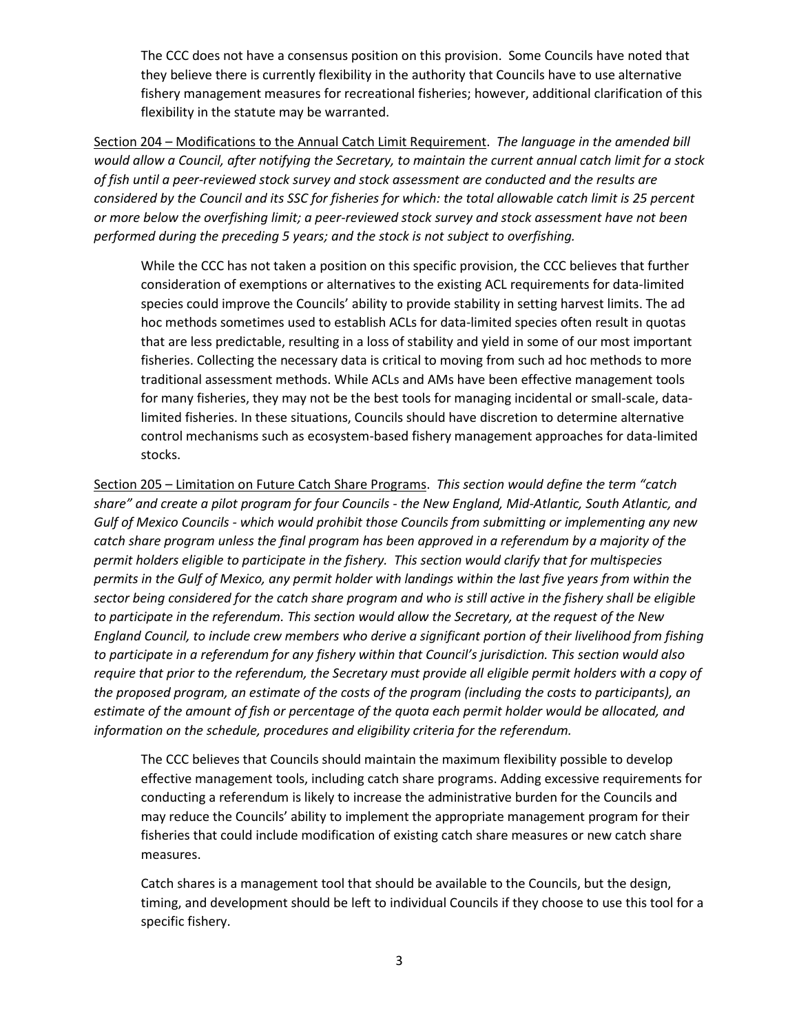The CCC does not have a consensus position on this provision. Some Councils have noted that they believe there is currently flexibility in the authority that Councils have to use alternative fishery management measures for recreational fisheries; however, additional clarification of this flexibility in the statute may be warranted.

Section 204 – Modifications to the Annual Catch Limit Requirement. *The language in the amended bill would allow a Council, after notifying the Secretary, to maintain the current annual catch limit for a stock of fish until a peer-reviewed stock survey and stock assessment are conducted and the results are considered by the Council and its SSC for fisheries for which: the total allowable catch limit is 25 percent or more below the overfishing limit; a peer-reviewed stock survey and stock assessment have not been performed during the preceding 5 years; and the stock is not subject to overfishing.* 

While the CCC has not taken a position on this specific provision, the CCC believes that further consideration of exemptions or alternatives to the existing ACL requirements for data-limited species could improve the Councils' ability to provide stability in setting harvest limits. The ad hoc methods sometimes used to establish ACLs for data-limited species often result in quotas that are less predictable, resulting in a loss of stability and yield in some of our most important fisheries. Collecting the necessary data is critical to moving from such ad hoc methods to more traditional assessment methods. While ACLs and AMs have been effective management tools for many fisheries, they may not be the best tools for managing incidental or small-scale, datalimited fisheries. In these situations, Councils should have discretion to determine alternative control mechanisms such as ecosystem-based fishery management approaches for data-limited stocks.

Section 205 – Limitation on Future Catch Share Programs. *This section would define the term "catch share" and create a pilot program for four Councils - the New England, Mid-Atlantic, South Atlantic, and Gulf of Mexico Councils - which would prohibit those Councils from submitting or implementing any new catch share program unless the final program has been approved in a referendum by a majority of the permit holders eligible to participate in the fishery. This section would clarify that for multispecies permits in the Gulf of Mexico, any permit holder with landings within the last five years from within the sector being considered for the catch share program and who is still active in the fishery shall be eligible to participate in the referendum. This section would allow the Secretary, at the request of the New England Council, to include crew members who derive a significant portion of their livelihood from fishing to participate in a referendum for any fishery within that Council's jurisdiction. This section would also require that prior to the referendum, the Secretary must provide all eligible permit holders with a copy of the proposed program, an estimate of the costs of the program (including the costs to participants), an estimate of the amount of fish or percentage of the quota each permit holder would be allocated, and information on the schedule, procedures and eligibility criteria for the referendum.* 

The CCC believes that Councils should maintain the maximum flexibility possible to develop effective management tools, including catch share programs. Adding excessive requirements for conducting a referendum is likely to increase the administrative burden for the Councils and may reduce the Councils' ability to implement the appropriate management program for their fisheries that could include modification of existing catch share measures or new catch share measures.

Catch shares is a management tool that should be available to the Councils, but the design, timing, and development should be left to individual Councils if they choose to use this tool for a specific fishery.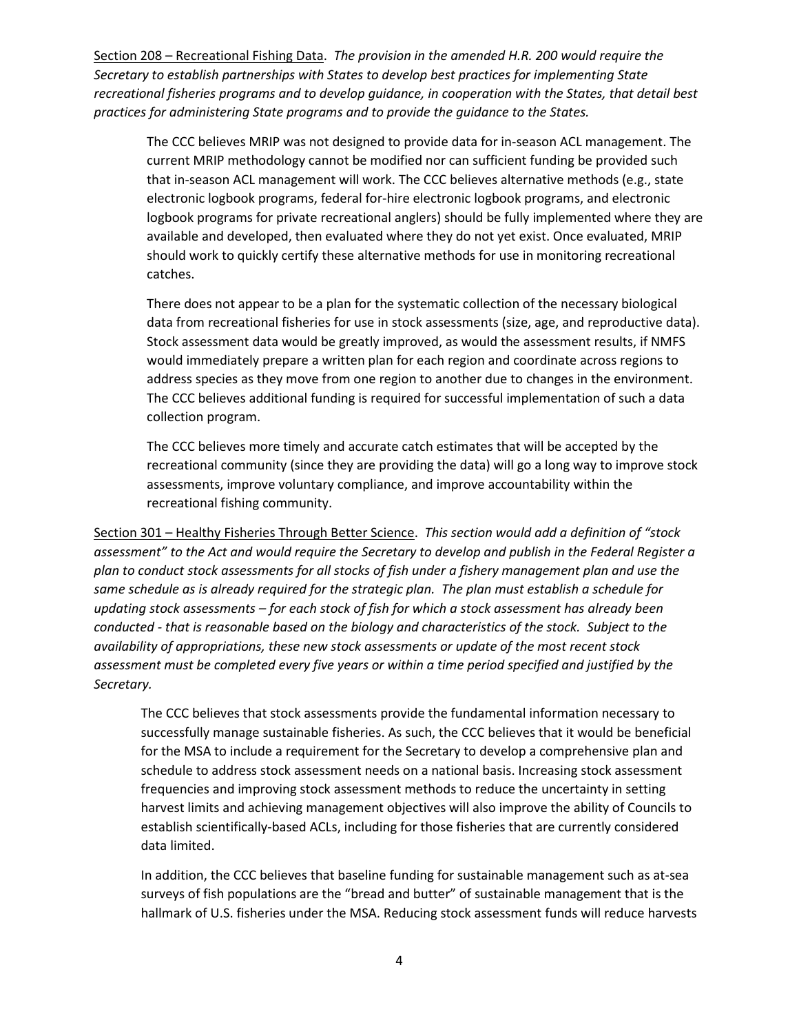Section 208 – Recreational Fishing Data. *The provision in the amended H.R. 200 would require the Secretary to establish partnerships with States to develop best practices for implementing State recreational fisheries programs and to develop guidance, in cooperation with the States, that detail best practices for administering State programs and to provide the guidance to the States.*

The CCC believes MRIP was not designed to provide data for in-season ACL management. The current MRIP methodology cannot be modified nor can sufficient funding be provided such that in-season ACL management will work. The CCC believes alternative methods (e.g., state electronic logbook programs, federal for-hire electronic logbook programs, and electronic logbook programs for private recreational anglers) should be fully implemented where they are available and developed, then evaluated where they do not yet exist. Once evaluated, MRIP should work to quickly certify these alternative methods for use in monitoring recreational catches.

There does not appear to be a plan for the systematic collection of the necessary biological data from recreational fisheries for use in stock assessments (size, age, and reproductive data). Stock assessment data would be greatly improved, as would the assessment results, if NMFS would immediately prepare a written plan for each region and coordinate across regions to address species as they move from one region to another due to changes in the environment. The CCC believes additional funding is required for successful implementation of such a data collection program.

The CCC believes more timely and accurate catch estimates that will be accepted by the recreational community (since they are providing the data) will go a long way to improve stock assessments, improve voluntary compliance, and improve accountability within the recreational fishing community.

Section 301 – Healthy Fisheries Through Better Science. *This section would add a definition of "stock assessment" to the Act and would require the Secretary to develop and publish in the Federal Register a plan to conduct stock assessments for all stocks of fish under a fishery management plan and use the same schedule as is already required for the strategic plan. The plan must establish a schedule for updating stock assessments – for each stock of fish for which a stock assessment has already been conducted - that is reasonable based on the biology and characteristics of the stock. Subject to the availability of appropriations, these new stock assessments or update of the most recent stock assessment must be completed every five years or within a time period specified and justified by the Secretary.*

The CCC believes that stock assessments provide the fundamental information necessary to successfully manage sustainable fisheries. As such, the CCC believes that it would be beneficial for the MSA to include a requirement for the Secretary to develop a comprehensive plan and schedule to address stock assessment needs on a national basis. Increasing stock assessment frequencies and improving stock assessment methods to reduce the uncertainty in setting harvest limits and achieving management objectives will also improve the ability of Councils to establish scientifically-based ACLs, including for those fisheries that are currently considered data limited.

In addition, the CCC believes that baseline funding for sustainable management such as at-sea surveys of fish populations are the "bread and butter" of sustainable management that is the hallmark of U.S. fisheries under the MSA. Reducing stock assessment funds will reduce harvests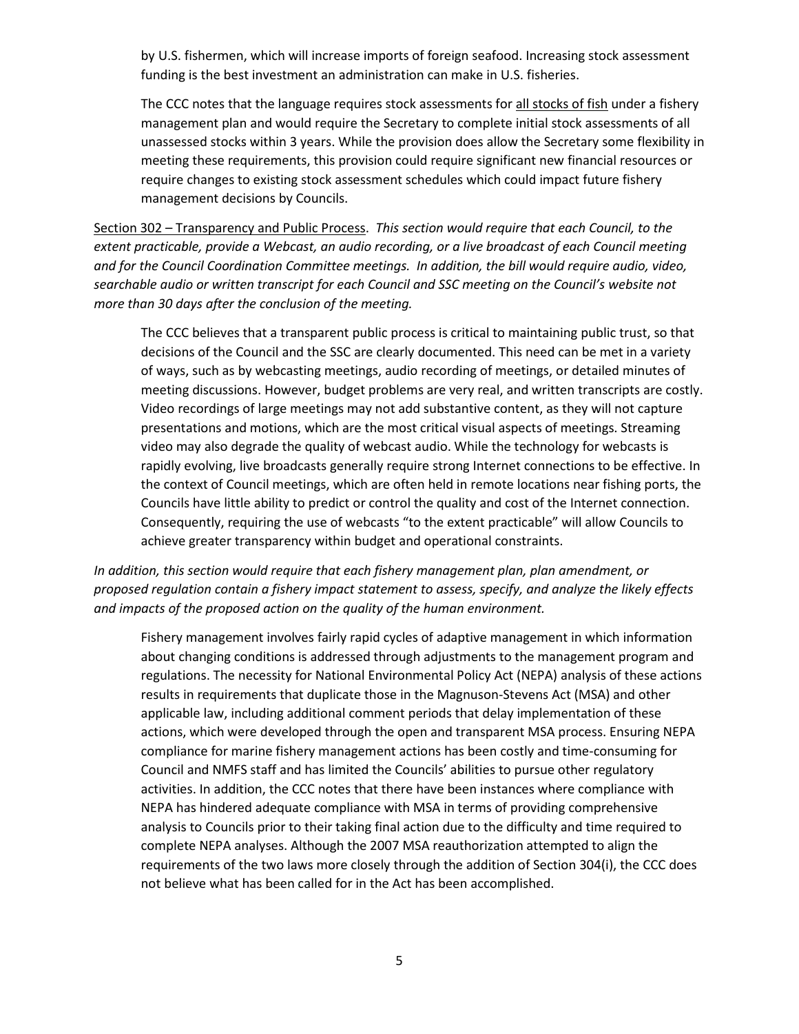by U.S. fishermen, which will increase imports of foreign seafood. Increasing stock assessment funding is the best investment an administration can make in U.S. fisheries.

The CCC notes that the language requires stock assessments for all stocks of fish under a fishery management plan and would require the Secretary to complete initial stock assessments of all unassessed stocks within 3 years. While the provision does allow the Secretary some flexibility in meeting these requirements, this provision could require significant new financial resources or require changes to existing stock assessment schedules which could impact future fishery management decisions by Councils.

Section 302 – Transparency and Public Process. *This section would require that each Council, to the extent practicable, provide a Webcast, an audio recording, or a live broadcast of each Council meeting and for the Council Coordination Committee meetings. In addition, the bill would require audio, video, searchable audio or written transcript for each Council and SSC meeting on the Council's website not more than 30 days after the conclusion of the meeting.* 

The CCC believes that a transparent public process is critical to maintaining public trust, so that decisions of the Council and the SSC are clearly documented. This need can be met in a variety of ways, such as by webcasting meetings, audio recording of meetings, or detailed minutes of meeting discussions. However, budget problems are very real, and written transcripts are costly. Video recordings of large meetings may not add substantive content, as they will not capture presentations and motions, which are the most critical visual aspects of meetings. Streaming video may also degrade the quality of webcast audio. While the technology for webcasts is rapidly evolving, live broadcasts generally require strong Internet connections to be effective. In the context of Council meetings, which are often held in remote locations near fishing ports, the Councils have little ability to predict or control the quality and cost of the Internet connection. Consequently, requiring the use of webcasts "to the extent practicable" will allow Councils to achieve greater transparency within budget and operational constraints.

*In addition, this section would require that each fishery management plan, plan amendment, or proposed regulation contain a fishery impact statement to assess, specify, and analyze the likely effects and impacts of the proposed action on the quality of the human environment.* 

Fishery management involves fairly rapid cycles of adaptive management in which information about changing conditions is addressed through adjustments to the management program and regulations. The necessity for National Environmental Policy Act (NEPA) analysis of these actions results in requirements that duplicate those in the Magnuson-Stevens Act (MSA) and other applicable law, including additional comment periods that delay implementation of these actions, which were developed through the open and transparent MSA process. Ensuring NEPA compliance for marine fishery management actions has been costly and time-consuming for Council and NMFS staff and has limited the Councils' abilities to pursue other regulatory activities. In addition, the CCC notes that there have been instances where compliance with NEPA has hindered adequate compliance with MSA in terms of providing comprehensive analysis to Councils prior to their taking final action due to the difficulty and time required to complete NEPA analyses. Although the 2007 MSA reauthorization attempted to align the requirements of the two laws more closely through the addition of Section 304(i), the CCC does not believe what has been called for in the Act has been accomplished.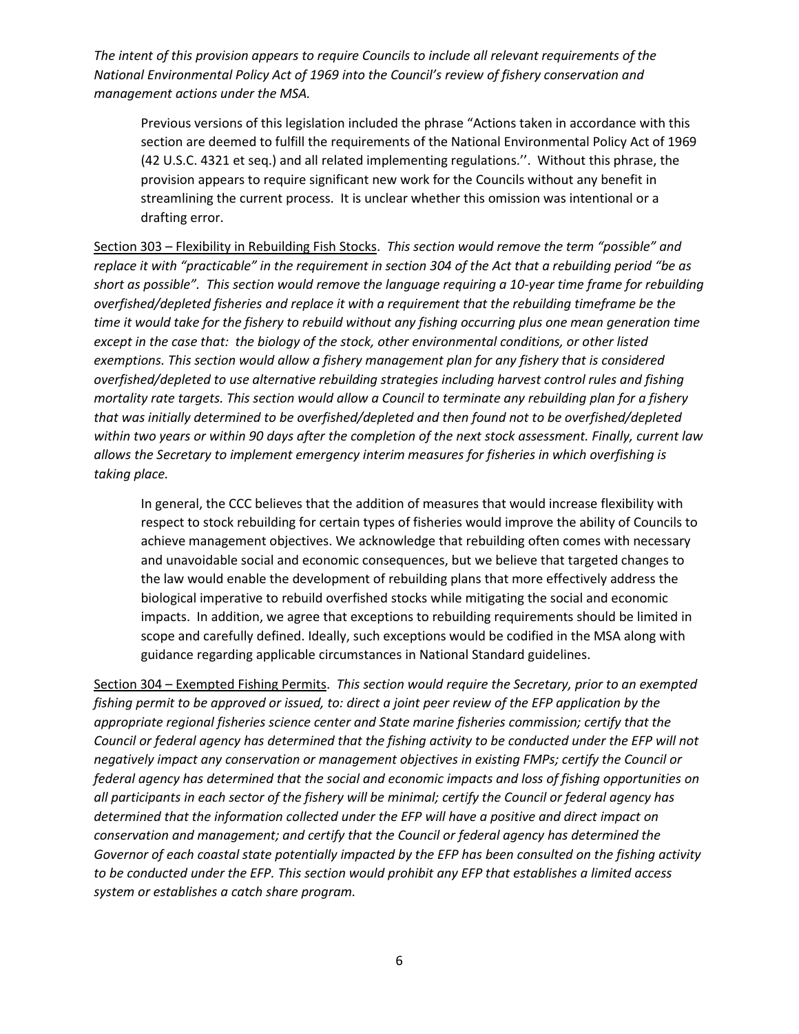*The intent of this provision appears to require Councils to include all relevant requirements of the National Environmental Policy Act of 1969 into the Council's review of fishery conservation and management actions under the MSA.*

Previous versions of this legislation included the phrase "Actions taken in accordance with this section are deemed to fulfill the requirements of the National Environmental Policy Act of 1969 (42 U.S.C. 4321 et seq.) and all related implementing regulations.''. Without this phrase, the provision appears to require significant new work for the Councils without any benefit in streamlining the current process. It is unclear whether this omission was intentional or a drafting error.

Section 303 – Flexibility in Rebuilding Fish Stocks. *This section would remove the term "possible" and replace it with "practicable" in the requirement in section 304 of the Act that a rebuilding period "be as short as possible". This section would remove the language requiring a 10-year time frame for rebuilding overfished/depleted fisheries and replace it with a requirement that the rebuilding timeframe be the time it would take for the fishery to rebuild without any fishing occurring plus one mean generation time except in the case that: the biology of the stock, other environmental conditions, or other listed exemptions. This section would allow a fishery management plan for any fishery that is considered overfished/depleted to use alternative rebuilding strategies including harvest control rules and fishing mortality rate targets. This section would allow a Council to terminate any rebuilding plan for a fishery that was initially determined to be overfished/depleted and then found not to be overfished/depleted within two years or within 90 days after the completion of the next stock assessment. Finally, current law allows the Secretary to implement emergency interim measures for fisheries in which overfishing is taking place.*

In general, the CCC believes that the addition of measures that would increase flexibility with respect to stock rebuilding for certain types of fisheries would improve the ability of Councils to achieve management objectives. We acknowledge that rebuilding often comes with necessary and unavoidable social and economic consequences, but we believe that targeted changes to the law would enable the development of rebuilding plans that more effectively address the biological imperative to rebuild overfished stocks while mitigating the social and economic impacts. In addition, we agree that exceptions to rebuilding requirements should be limited in scope and carefully defined. Ideally, such exceptions would be codified in the MSA along with guidance regarding applicable circumstances in National Standard guidelines.

Section 304 – Exempted Fishing Permits. *This section would require the Secretary, prior to an exempted*  fishing permit to be approved or issued, to: direct a joint peer review of the EFP application by the *appropriate regional fisheries science center and State marine fisheries commission; certify that the Council or federal agency has determined that the fishing activity to be conducted under the EFP will not negatively impact any conservation or management objectives in existing FMPs; certify the Council or federal agency has determined that the social and economic impacts and loss of fishing opportunities on all participants in each sector of the fishery will be minimal; certify the Council or federal agency has determined that the information collected under the EFP will have a positive and direct impact on conservation and management; and certify that the Council or federal agency has determined the Governor of each coastal state potentially impacted by the EFP has been consulted on the fishing activity to be conducted under the EFP. This section would prohibit any EFP that establishes a limited access system or establishes a catch share program.*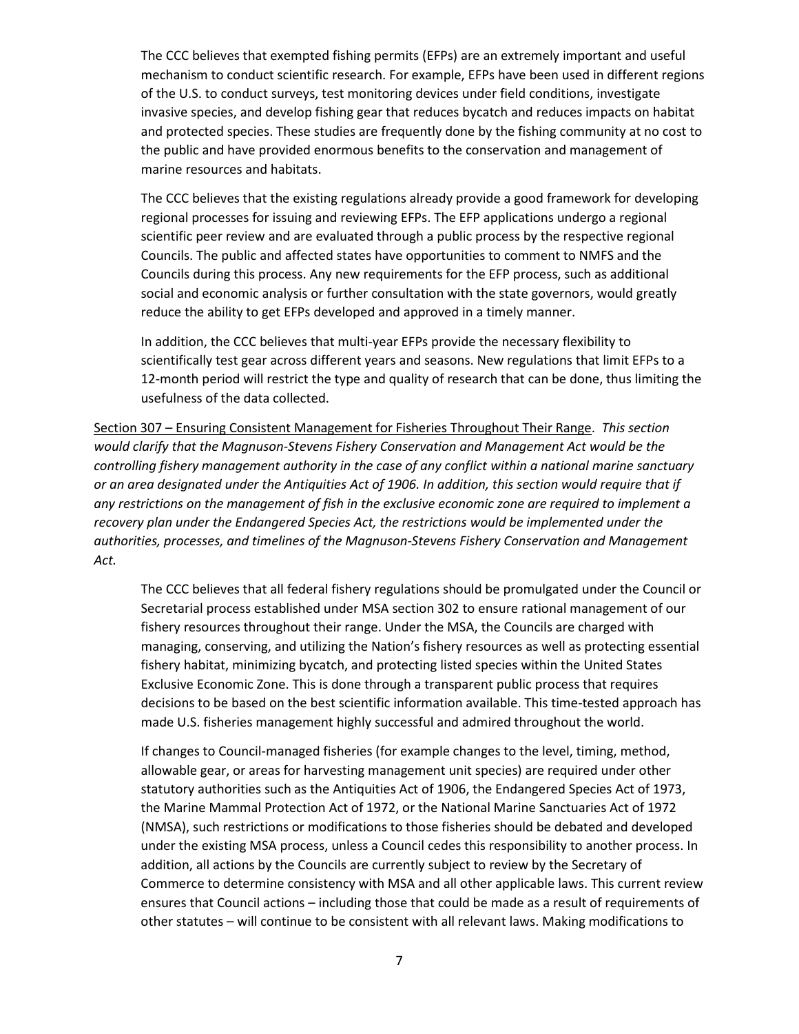The CCC believes that exempted fishing permits (EFPs) are an extremely important and useful mechanism to conduct scientific research. For example, EFPs have been used in different regions of the U.S. to conduct surveys, test monitoring devices under field conditions, investigate invasive species, and develop fishing gear that reduces bycatch and reduces impacts on habitat and protected species. These studies are frequently done by the fishing community at no cost to the public and have provided enormous benefits to the conservation and management of marine resources and habitats.

The CCC believes that the existing regulations already provide a good framework for developing regional processes for issuing and reviewing EFPs. The EFP applications undergo a regional scientific peer review and are evaluated through a public process by the respective regional Councils. The public and affected states have opportunities to comment to NMFS and the Councils during this process. Any new requirements for the EFP process, such as additional social and economic analysis or further consultation with the state governors, would greatly reduce the ability to get EFPs developed and approved in a timely manner.

In addition, the CCC believes that multi-year EFPs provide the necessary flexibility to scientifically test gear across different years and seasons. New regulations that limit EFPs to a 12-month period will restrict the type and quality of research that can be done, thus limiting the usefulness of the data collected.

Section 307 – Ensuring Consistent Management for Fisheries Throughout Their Range. *This section would clarify that the Magnuson-Stevens Fishery Conservation and Management Act would be the controlling fishery management authority in the case of any conflict within a national marine sanctuary or an area designated under the Antiquities Act of 1906. In addition, this section would require that if any restrictions on the management of fish in the exclusive economic zone are required to implement a recovery plan under the Endangered Species Act, the restrictions would be implemented under the authorities, processes, and timelines of the Magnuson-Stevens Fishery Conservation and Management Act.*

The CCC believes that all federal fishery regulations should be promulgated under the Council or Secretarial process established under MSA section 302 to ensure rational management of our fishery resources throughout their range. Under the MSA, the Councils are charged with managing, conserving, and utilizing the Nation's fishery resources as well as protecting essential fishery habitat, minimizing bycatch, and protecting listed species within the United States Exclusive Economic Zone. This is done through a transparent public process that requires decisions to be based on the best scientific information available. This time-tested approach has made U.S. fisheries management highly successful and admired throughout the world.

If changes to Council-managed fisheries (for example changes to the level, timing, method, allowable gear, or areas for harvesting management unit species) are required under other statutory authorities such as the Antiquities Act of 1906, the Endangered Species Act of 1973, the Marine Mammal Protection Act of 1972, or the National Marine Sanctuaries Act of 1972 (NMSA), such restrictions or modifications to those fisheries should be debated and developed under the existing MSA process, unless a Council cedes this responsibility to another process. In addition, all actions by the Councils are currently subject to review by the Secretary of Commerce to determine consistency with MSA and all other applicable laws. This current review ensures that Council actions – including those that could be made as a result of requirements of other statutes – will continue to be consistent with all relevant laws. Making modifications to